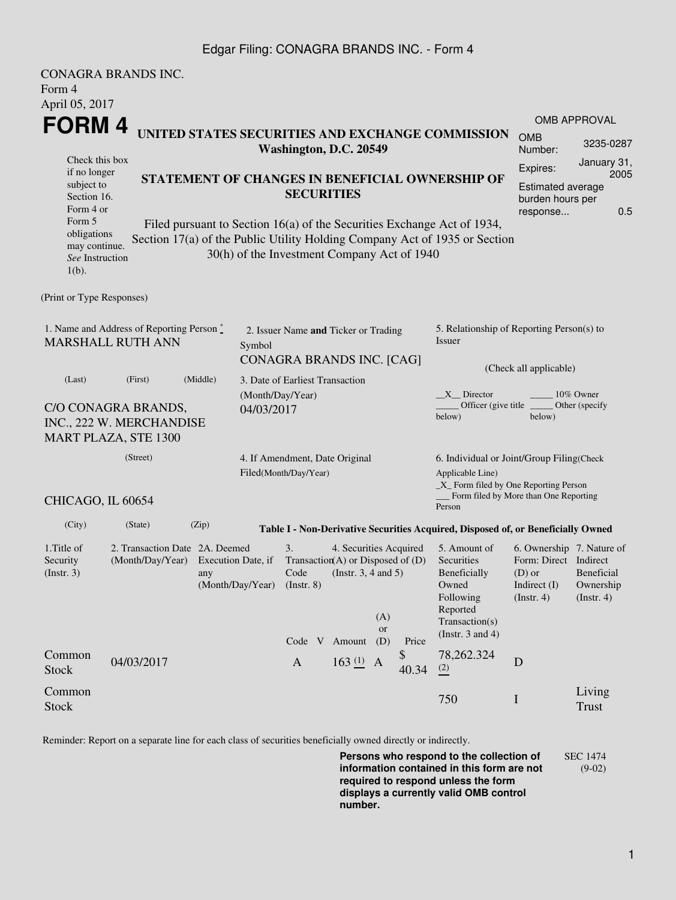## Edgar Filing: CONAGRA BRANDS INC. - Form 4

|                                                                                    | <b>CONAGRA BRANDS INC.</b>                         |                                                                                                                                                                                                                                             |                                                                             |                                                                                  |                                                    |                         |             |                                                                                                                                                  |                                                                                                      |                                                 |  |  |  |
|------------------------------------------------------------------------------------|----------------------------------------------------|---------------------------------------------------------------------------------------------------------------------------------------------------------------------------------------------------------------------------------------------|-----------------------------------------------------------------------------|----------------------------------------------------------------------------------|----------------------------------------------------|-------------------------|-------------|--------------------------------------------------------------------------------------------------------------------------------------------------|------------------------------------------------------------------------------------------------------|-------------------------------------------------|--|--|--|
| Form 4<br>April 05, 2017                                                           |                                                    |                                                                                                                                                                                                                                             |                                                                             |                                                                                  |                                                    |                         |             |                                                                                                                                                  |                                                                                                      |                                                 |  |  |  |
| FORM 4                                                                             |                                                    |                                                                                                                                                                                                                                             |                                                                             |                                                                                  |                                                    |                         |             |                                                                                                                                                  |                                                                                                      | <b>OMB APPROVAL</b>                             |  |  |  |
| UNITED STATES SECURITIES AND EXCHANGE COMMISSION<br>Washington, D.C. 20549         |                                                    |                                                                                                                                                                                                                                             |                                                                             |                                                                                  |                                                    |                         |             |                                                                                                                                                  | <b>OMB</b><br>Number:                                                                                | 3235-0287                                       |  |  |  |
| Check this box<br>if no longer<br>subject to<br>Section 16.                        |                                                    | Expires:<br>STATEMENT OF CHANGES IN BENEFICIAL OWNERSHIP OF<br><b>SECURITIES</b>                                                                                                                                                            |                                                                             |                                                                                  |                                                    |                         |             |                                                                                                                                                  |                                                                                                      | January 31,<br>2005<br><b>Estimated average</b> |  |  |  |
| Form 4 or<br>Form 5<br>obligations<br>may continue.<br>See Instruction<br>$1(b)$ . |                                                    | burden hours per<br>0.5<br>response<br>Filed pursuant to Section 16(a) of the Securities Exchange Act of 1934,<br>Section 17(a) of the Public Utility Holding Company Act of 1935 or Section<br>30(h) of the Investment Company Act of 1940 |                                                                             |                                                                                  |                                                    |                         |             |                                                                                                                                                  |                                                                                                      |                                                 |  |  |  |
| (Print or Type Responses)                                                          |                                                    |                                                                                                                                                                                                                                             |                                                                             |                                                                                  |                                                    |                         |             |                                                                                                                                                  |                                                                                                      |                                                 |  |  |  |
| 1. Name and Address of Reporting Person *<br><b>MARSHALL RUTH ANN</b>              |                                                    |                                                                                                                                                                                                                                             | 2. Issuer Name and Ticker or Trading<br>Symbol<br>CONAGRA BRANDS INC. [CAG] |                                                                                  |                                                    |                         |             | 5. Relationship of Reporting Person(s) to<br>Issuer                                                                                              |                                                                                                      |                                                 |  |  |  |
| (Last)                                                                             | (Middle)<br>(First)                                |                                                                                                                                                                                                                                             |                                                                             | 3. Date of Earliest Transaction                                                  |                                                    |                         |             |                                                                                                                                                  | (Check all applicable)                                                                               |                                                 |  |  |  |
| C/O CONAGRA BRANDS,<br>INC., 222 W. MERCHANDISE<br><b>MART PLAZA, STE 1300</b>     |                                                    |                                                                                                                                                                                                                                             | (Month/Day/Year)<br>04/03/2017                                              |                                                                                  |                                                    |                         |             | $X$ Director<br>10% Owner<br>Officer (give title)<br>Other (specify<br>below)<br>below)                                                          |                                                                                                      |                                                 |  |  |  |
| (Street)                                                                           |                                                    |                                                                                                                                                                                                                                             |                                                                             | 4. If Amendment, Date Original<br>Filed(Month/Day/Year)                          |                                                    |                         |             | 6. Individual or Joint/Group Filing(Check<br>Applicable Line)<br>_X_ Form filed by One Reporting Person<br>Form filed by More than One Reporting |                                                                                                      |                                                 |  |  |  |
| CHICAGO, IL 60654                                                                  |                                                    |                                                                                                                                                                                                                                             |                                                                             |                                                                                  |                                                    |                         |             | Person                                                                                                                                           |                                                                                                      |                                                 |  |  |  |
| (City)                                                                             | (State)                                            | (Zip)                                                                                                                                                                                                                                       |                                                                             |                                                                                  |                                                    |                         |             | Table I - Non-Derivative Securities Acquired, Disposed of, or Beneficially Owned                                                                 |                                                                                                      |                                                 |  |  |  |
| 1. Title of<br>Security<br>$($ Instr. 3 $)$                                        | 2. Transaction Date 2A. Deemed<br>(Month/Day/Year) | Execution Date, if<br>any<br>(Month/Day/Year)                                                                                                                                                                                               |                                                                             | 3.<br>Transaction(A) or Disposed of $(D)$<br>Code<br>(Instr. 8)<br>Code V Amount | 4. Securities Acquired<br>(Instr. $3, 4$ and $5$ ) | (A)<br><b>or</b><br>(D) | Price       | 5. Amount of<br>Securities<br>Beneficially<br>Owned<br>Following<br>Reported<br>Transaction(s)<br>(Instr. $3$ and $4$ )                          | 6. Ownership 7. Nature of<br>Form: Direct Indirect<br>$(D)$ or<br>Indirect $(I)$<br>$($ Instr. 4 $)$ | <b>Beneficial</b><br>Ownership<br>(Insert. 4)   |  |  |  |
| Common<br><b>Stock</b>                                                             | 04/03/2017                                         |                                                                                                                                                                                                                                             |                                                                             | $\mathbf{A}$                                                                     | $163(1)$ A                                         |                         | \$<br>40.34 | 78,262.324<br>(2)                                                                                                                                | D                                                                                                    |                                                 |  |  |  |
| Common<br><b>Stock</b>                                                             |                                                    |                                                                                                                                                                                                                                             |                                                                             |                                                                                  |                                                    |                         |             | 750                                                                                                                                              | I                                                                                                    | Living<br>Trust                                 |  |  |  |

Reminder: Report on a separate line for each class of securities beneficially owned directly or indirectly.

**Persons who respond to the collection of information contained in this form are not required to respond unless the form displays a currently valid OMB control number.** SEC 1474 (9-02)